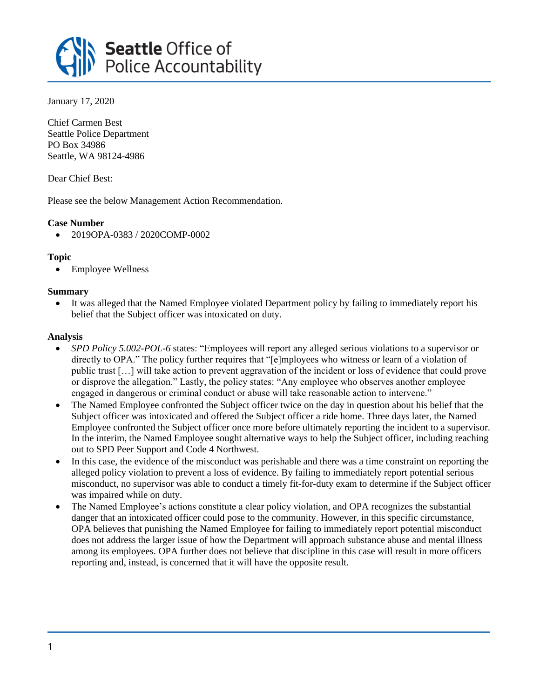

January 17, 2020

Chief Carmen Best Seattle Police Department PO Box 34986 Seattle, WA 98124-4986

Dear Chief Best:

Please see the below Management Action Recommendation.

# **Case Number**

• 2019OPA-0383 / 2020COMP-0002

# **Topic**

• Employee Wellness

### **Summary**

• It was alleged that the Named Employee violated Department policy by failing to immediately report his belief that the Subject officer was intoxicated on duty.

#### **Analysis**

- *SPD Policy 5.002-POL-6* states: "Employees will report any alleged serious violations to a supervisor or directly to OPA." The policy further requires that "[e]mployees who witness or learn of a violation of public trust […] will take action to prevent aggravation of the incident or loss of evidence that could prove or disprove the allegation." Lastly, the policy states: "Any employee who observes another employee engaged in dangerous or criminal conduct or abuse will take reasonable action to intervene."
- The Named Employee confronted the Subject officer twice on the day in question about his belief that the Subject officer was intoxicated and offered the Subject officer a ride home. Three days later, the Named Employee confronted the Subject officer once more before ultimately reporting the incident to a supervisor. In the interim, the Named Employee sought alternative ways to help the Subject officer, including reaching out to SPD Peer Support and Code 4 Northwest.
- In this case, the evidence of the misconduct was perishable and there was a time constraint on reporting the alleged policy violation to prevent a loss of evidence. By failing to immediately report potential serious misconduct, no supervisor was able to conduct a timely fit-for-duty exam to determine if the Subject officer was impaired while on duty.
- The Named Employee's actions constitute a clear policy violation, and OPA recognizes the substantial danger that an intoxicated officer could pose to the community. However, in this specific circumstance, OPA believes that punishing the Named Employee for failing to immediately report potential misconduct does not address the larger issue of how the Department will approach substance abuse and mental illness among its employees. OPA further does not believe that discipline in this case will result in more officers reporting and, instead, is concerned that it will have the opposite result.